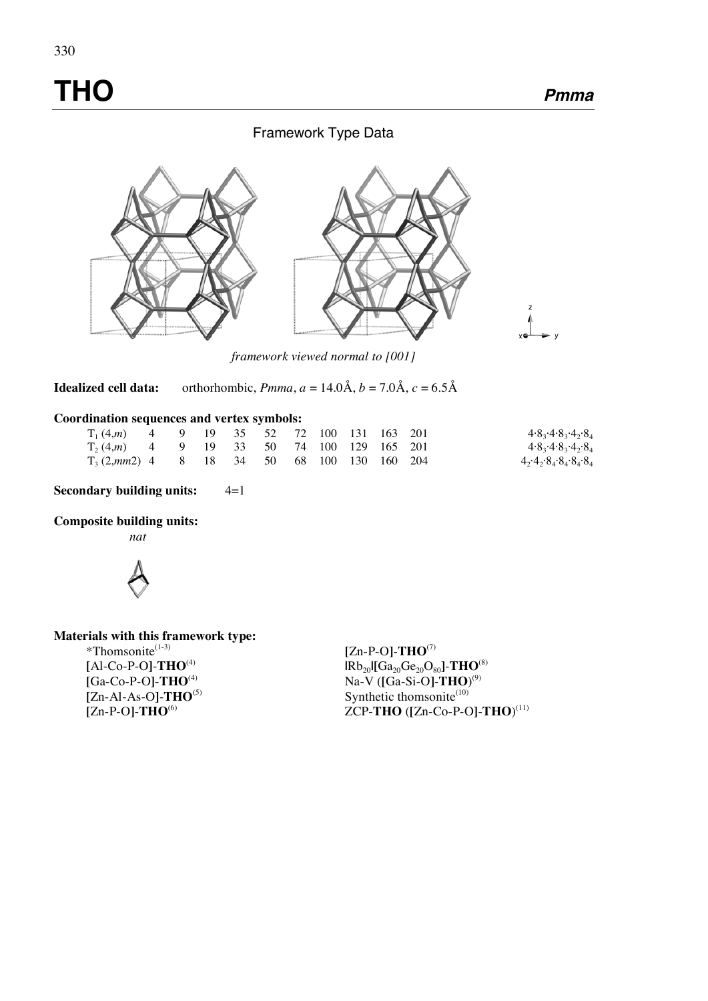# **THO Pmma**

## Framework Type Data



*framework viewed normal to [001]* 

**Idealized cell data:** orthorhombic, *Pmma*,  $a = 14.0 \text{Å}$ ,  $b = 7.0 \text{Å}$ ,  $c = 6.5 \text{Å}$ 

#### **Coordination sequences and vertex symbols:**

| $T_1(4,m)$ 4 9 19 35 52 72 100 131 163 201   |  |  |  |  |  | $4.8_3.4.8_3.4_2.8_4$ |
|----------------------------------------------|--|--|--|--|--|-----------------------|
| $T_2(4,m)$ 4 9 19 33 50 74 100 129 165 201   |  |  |  |  |  | $4.8_3.4.8_3.4_2.8_4$ |
| $T_3(2,mm2)$ 4 8 18 34 50 68 100 130 160 204 |  |  |  |  |  | 4,4,8,8,8,8,8,8,8     |

**Secondary building units:**  $4=1$ 

#### **Composite building units:**

 *nat* 



**Materials with this framework type:**

 $*$ Thomsonite<sup> $(1-3)$ </sup> **[**Al-Co-P-O**]**-**THO**(4) **[**Ga-Co-P-O**]**-**THO**(4) **[**Zn-Al-As-O**]**-**THO**(5) **[**Zn-P-O**]**-**THO**(6)

**[**Zn-P-O**]**-**THO**(7)  $\text{IRb}_{20}$ **[**Ga<sub>20</sub>Ge<sub>20</sub>O<sub>80</sub>]-**THO**<sup>(8)</sup> Na-V (**[**Ga-Si-O**]**-**THO**) (9) Synthetic thomsonite $^{(10)}$ ZCP-**THO** (**[**Zn-Co-P-O**]**-**THO**) (11)